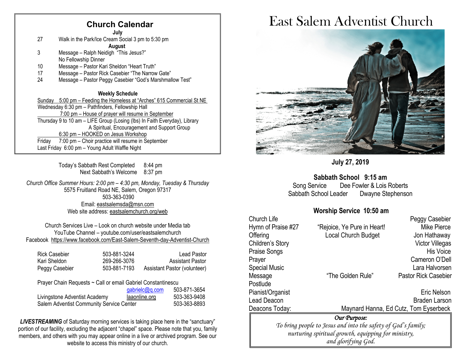## **Church Calendar**

**July**

27 Walk in the Park/Ice Cream Social 3 pm to 5:30 pm

#### **August**

- 3 Message Ralph Neidigh "This Jesus?" No Fellowship Dinner
- 10 Message Pastor Kari Sheldon "Heart Truth"
- 17 Message Pastor Rick Casebier "The Narrow Gate"
- 24 Message Pastor Peggy Casebier "God's Marshmallow Test"

#### **Weekly Schedule**

Sunday 5:00 pm – Feeding the Homeless at "Arches" 615 Commercial St NE Wednesday 6:30 pm – Pathfinders, Fellowship Hall 7:00 pm – House of prayer will resume in September Thursday 9 to 10 am – LIFE Group (Losing (lbs) In Faith Everyday), Library A Spiritual, Encouragement and Support Group 6:30 pm – HOOKED on Jesus Workshop Friday 7:00 pm – Choir practice will resume in September Last Friday 6:00 pm – Young Adult Waffle Night

> Today's Sabbath Rest Completed 8:44 pm Next Sabbath's Welcome 8:37 pm

*Church Office Summer Hours: 2:00 pm – 4:30 pm, Monday, Tuesday & Thursday* 5575 Fruitland Road NE, Salem, Oregon 97317 503-363-0390 Email: [eastsalemsda@msn.com](mailto:eastsalemsda@msn.com) Web site address[: eastsalemchurch.org/](http://eastsalem.adventists.info/)web

Church Services Live – Look on church website under Media tab YouTube Channel – youtube.com/user/eastsalemchurch Facebook [https://www.facebook.com/East-Salem-Seventh-day-Adventist-Church](https://www.facebook.com/East-Salem-Seventh-day-Adventist-Church-111402832212994/?fref=ts)

| Rick Casebier  | 503-881-3244 | Lead Pastor                  |
|----------------|--------------|------------------------------|
| Kari Sheldon I | 269-266-3076 | <b>Assistant Pastor</b>      |
| Peggy Casebier | 503-881-7193 | Assistant Pastor (volunteer) |

Prayer Chain Requests ~ Call or email Gabriel Constantinescu

|                                          | gabrielc@g.com | 503-871-3654 |
|------------------------------------------|----------------|--------------|
| Livingstone Adventist Academy            | laaonline.org  | 503-363-9408 |
| Salem Adventist Community Service Center |                | 503-363-8893 |

**LIVESTREAMING** of Saturday morning services is taking place here in the "sanctuary" portion of our facility, excluding the adjacent "chapel" space. Please note that you, family members, and others with you may appear online in a live or archived program. See our website to access this ministry of our church.

# East Salem Adventist Church



## **July 27, 2019**

**Sabbath School 9:15 am**

Song Service Dee Fowler & Lois Roberts Sabbath School Leader Dwayne Stephenson

## **Worship Service 10:50 am**

| Church Life                                                   |                             | Peggy Casebier                        |  |  |
|---------------------------------------------------------------|-----------------------------|---------------------------------------|--|--|
| Hymn of Praise #27                                            | "Rejoice, Ye Pure in Heart! | Mike Pierce                           |  |  |
| Offering                                                      | Local Church Budget         | Jon Hathaway                          |  |  |
| Children's Story                                              |                             | Victor Villegas                       |  |  |
| Praise Songs                                                  |                             | <b>His Voice</b>                      |  |  |
| Prayer                                                        |                             | Cameron O'Dell                        |  |  |
| Special Music                                                 |                             | Lara Halvorsen                        |  |  |
| Message                                                       | "The Golden Rule"           | <b>Pastor Rick Casebier</b>           |  |  |
| Postlude                                                      |                             |                                       |  |  |
| Pianist/Organist                                              |                             | Eric Nelson                           |  |  |
| Lead Deacon                                                   |                             | <b>Braden Larson</b>                  |  |  |
| Deacons Today:                                                |                             | Maynard Hanna, Ed Cutz, Tom Eyserbeck |  |  |
| Our Purpose:                                                  |                             |                                       |  |  |
| To bring people to Jesus and into the safety of God's family; |                             |                                       |  |  |
| nurturing spiritual growth, equipping for ministry,           |                             |                                       |  |  |
| and glorifying God.                                           |                             |                                       |  |  |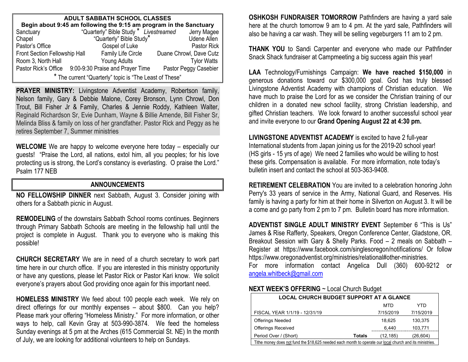| <b>ADULT SABBATH SCHOOL CLASSES</b>                                |  |                                        |  |                         |  |
|--------------------------------------------------------------------|--|----------------------------------------|--|-------------------------|--|
| Begin about 9:45 am following the 9:15 am program in the Sanctuary |  |                                        |  |                         |  |
| Sanctuary                                                          |  | "Quarterly" Bible Study * Livestreamed |  | Jerry Magee             |  |
| Chapel                                                             |  | "Quarterly" Bible Study*               |  | <b>Udene Allen</b>      |  |
| Pastor's Office                                                    |  | Gospel of Luke                         |  | <b>Pastor Rick</b>      |  |
| Front Section Fellowship Hall                                      |  | Family Life Circle                     |  | Duane Chrowl, Dave Cutz |  |
| Room 3, North Hall                                                 |  | Young Adults                           |  | <b>Tylor Watts</b>      |  |
| Pastor Rick's Office                                               |  | 9:00-9:30 Praise and Prayer Time       |  | Pastor Peggy Casebier   |  |
| * The current "Quarterly" topic is "The Least of These"            |  |                                        |  |                         |  |

**PRAYER MINISTRY:** Livingstone Adventist Academy, Robertson family, Nelson family, Gary & Debbie Malone, Corey Bronson, Lynn Chrowl, Don Trout, Bill Fisher Jr & Family, Charles & Jennie Roddy, Kathleen Walter, Reginald Richardson Sr, Evie Dunham, Wayne & Billie Amende, Bill Fisher Sr, Melinda Bliss & family on loss of her grandfather. Pastor Rick and Peggy as he retires September 7, Summer ministries

**WELCOME** We are happy to welcome everyone here today – especially our guests! "Praise the Lord, all nations, extol him, all you peoples; for his love protecting us is strong, the Lord's constancy is everlasting. O praise the Lord." Psalm 177 NEB

## **ANNOUNCEMENTS**

**NO FELLOWSHIP DINNER** next Sabbath, August 3. Consider joining with others for a Sabbath picnic in August.

**REMODELING** of the downstairs Sabbath School rooms continues. Beginners through Primary Sabbath Schools are meeting in the fellowship hall until the project is complete in August. Thank you to everyone who is making this possible!

**CHURCH SECRETARY** We are in need of a church secretary to work part time here in our church office. If you are interested in this ministry opportunity or have any questions, please let Pastor Rick or Pastor Kari know. We solicit everyone's prayers about God providing once again for this important need.

**HOMELESS MINISTRY** We feed about 100 people each week. We rely on direct offerings for our monthly expenses – about \$800. Can you help? Please mark your offering "Homeless Ministry." For more information, or other ways to help, call Kevin Gray at 503-990-3874. We feed the homeless Sunday evenings at 5 pm at the Arches (615 Commercial St. NE) In the month of July, we are looking for additional volunteers to help on Sundays.

**OSHKOSH FUNDRAISER TOMORROW** Pathfinders are having a yard sale here at the church tomorrow 9 am to 4 pm. At the yard sale, Pathfinders will also be having a car wash. They will be selling vegeburgers 11 am to 2 pm.

**THANK YOU** to Sandi Carpenter and everyone who made our Pathfinder Snack Shack fundraiser at Campmeeting a big success again this year!

**LAA** Technology/Furnishings Campaign: **We have reached \$150,000** in generous donations toward our \$300,000 goal. God has truly blessed Livingstone Adventist Academy with champions of Christian education. We have much to praise the Lord for as we consider the Christian training of our children in a donated new school facility, strong Christian leadership, and gifted Christian teachers. We look forward to another successful school year and invite everyone to our **Grand Opening August 22 at 4:30 pm.**

**LIVINGSTONE ADVENTIST ACADEMY** is excited to have 2 full-year International students from Japan joining us for the 2019-20 school year! (HS girls - 15 yrs of age) We need 2 families who would be willing to host these girls. Compensation is available. For more information, note today's bulletin insert and contact the school at 503-363-9408.

**RETIREMENT CELEBRATION** You are invited to a celebration honoring John Perry's 33 years of service in the Army, National Guard, and Reserves. His family is having a party for him at their home in Silverton on August 3. It will be a come and go party from 2 pm to 7 pm. Bulletin board has more information.

**ADVENTIST SINGLE ADULT MINISTRY EVENT** September 6 "This is Us" James & Rise Rafferty, Speakers, Oregon Conference Center, Gladstone, OR. Breakout Session with Gary & Shelly Parks. Food – 2 meals on Sabbath – Register at https://www.facebook.com/singlesoregon/notifications/ Or follow https://www.oregonadventist.org/ministries/relational#other-ministries.

For more information contact Angelica Dull (360) 600-9212 or [angela.whitbeck@gmail.com](mailto:angela.whitbeck@gmail.com)

#### **NEXT WEEK'S OFFERING** ~ Local Church Budget

| <b>LOCAL CHURCH BUDGET SUPPORT AT A GLANCE</b>                                                           |        |           |           |  |
|----------------------------------------------------------------------------------------------------------|--------|-----------|-----------|--|
|                                                                                                          |        | MTD       | YTD       |  |
| FISCAL YEAR 1/1/19 - 12/31/19                                                                            |        | 7/15/2019 | 7/15/2019 |  |
| <b>Offerings Needed</b>                                                                                  |        | 18.625    | 130,375   |  |
| <b>Offerings Received</b>                                                                                |        | 6,440     | 103,771   |  |
| Period Over / (Short)                                                                                    | Totals | (12, 185) | (26, 604) |  |
| Tithe money does not fund the \$18,625 needed each month to operate our local church and its ministries. |        |           |           |  |